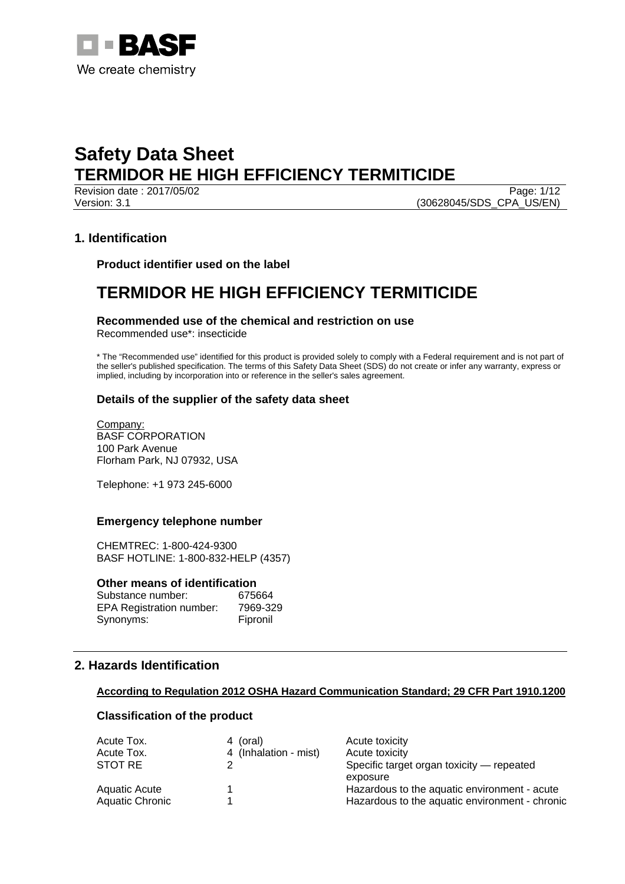

Page: 1/12 Version: 3.1 (30628045/SDS\_CPA\_US/EN)

## **1. Identification**

**Product identifier used on the label** 

## **TERMIDOR HE HIGH EFFICIENCY TERMITICIDE**

## **Recommended use of the chemical and restriction on use**

Recommended use\*: insecticide

\* The "Recommended use" identified for this product is provided solely to comply with a Federal requirement and is not part of the seller's published specification. The terms of this Safety Data Sheet (SDS) do not create or infer any warranty, express or implied, including by incorporation into or reference in the seller's sales agreement.

## **Details of the supplier of the safety data sheet**

Company: BASF CORPORATION 100 Park Avenue Florham Park, NJ 07932, USA

Telephone: +1 973 245-6000

## **Emergency telephone number**

CHEMTREC: 1-800-424-9300 BASF HOTLINE: 1-800-832-HELP (4357)

#### **Other means of identification**

| Substance number:               | 675664   |
|---------------------------------|----------|
| <b>EPA Registration number:</b> | 7969-329 |
| Synonyms:                       | Fipronil |

## **2. Hazards Identification**

## **According to Regulation 2012 OSHA Hazard Communication Standard; 29 CFR Part 1910.1200**

## **Classification of the product**

| Acute Tox.             | 4 (oral)              | Acute toxicity                                        |
|------------------------|-----------------------|-------------------------------------------------------|
| Acute Tox.             | 4 (Inhalation - mist) | Acute toxicity                                        |
| STOT RE                |                       | Specific target organ toxicity — repeated<br>exposure |
| Aquatic Acute          |                       | Hazardous to the aquatic environment - acute          |
| <b>Aquatic Chronic</b> |                       | Hazardous to the aquatic environment - chronic        |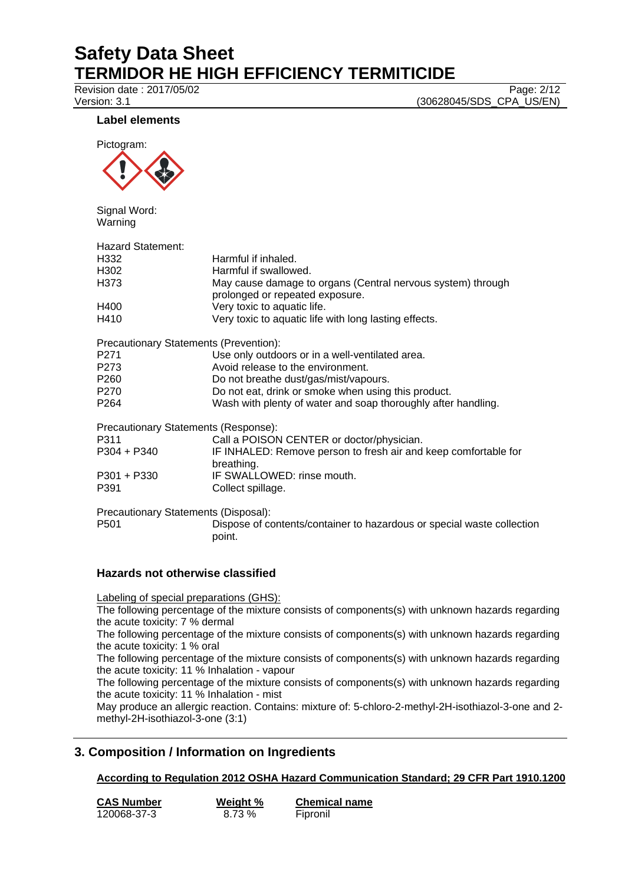Revision date : 2017/05/02 Page: 2/12

Version: 3.1 (30628045/SDS\_CPA\_US/EN)

## **Label elements**



Signal Word: Warning

| <b>Hazard Statement:</b>                      |                                                                               |
|-----------------------------------------------|-------------------------------------------------------------------------------|
| H332                                          | Harmful if inhaled.                                                           |
| H302                                          | Harmful if swallowed.                                                         |
| H373                                          | May cause damage to organs (Central nervous system) through                   |
|                                               | prolonged or repeated exposure.                                               |
| H400                                          | Very toxic to aquatic life.                                                   |
| H410                                          | Very toxic to aquatic life with long lasting effects.                         |
| <b>Precautionary Statements (Prevention):</b> |                                                                               |
| P271                                          | Use only outdoors or in a well-ventilated area.                               |
| P273                                          | Avoid release to the environment.                                             |
| P260                                          | Do not breathe dust/gas/mist/vapours.                                         |
| P270                                          | Do not eat, drink or smoke when using this product.                           |
| P264                                          | Wash with plenty of water and soap thoroughly after handling.                 |
| Precautionary Statements (Response):          |                                                                               |
| P311                                          | Call a POISON CENTER or doctor/physician.                                     |
| P304 + P340                                   | IF INHALED: Remove person to fresh air and keep comfortable for<br>breathing. |
| P301 + P330                                   | IF SWALLOWED: rinse mouth.                                                    |
| P391                                          | Collect spillage.                                                             |
| Precautionary Statements (Disposal):          |                                                                               |
| P501                                          | Dispose of contents/container to hazardous or special waste collection        |
|                                               | point.                                                                        |
|                                               |                                                                               |

## **Hazards not otherwise classified**

Labeling of special preparations (GHS):

The following percentage of the mixture consists of components(s) with unknown hazards regarding the acute toxicity: 7 % dermal

The following percentage of the mixture consists of components(s) with unknown hazards regarding the acute toxicity: 1 % oral

The following percentage of the mixture consists of components(s) with unknown hazards regarding the acute toxicity: 11 % Inhalation - vapour

The following percentage of the mixture consists of components(s) with unknown hazards regarding the acute toxicity: 11 % Inhalation - mist

May produce an allergic reaction. Contains: mixture of: 5-chloro-2-methyl-2H-isothiazol-3-one and 2 methyl-2H-isothiazol-3-one (3:1)

## **3. Composition / Information on Ingredients**

## **According to Regulation 2012 OSHA Hazard Communication Standard; 29 CFR Part 1910.1200**

| <b>CAS Number</b> | Weight % | <b>Chemical name</b> |
|-------------------|----------|----------------------|
| 120068-37-3       | 8.73 %   | Fipronil             |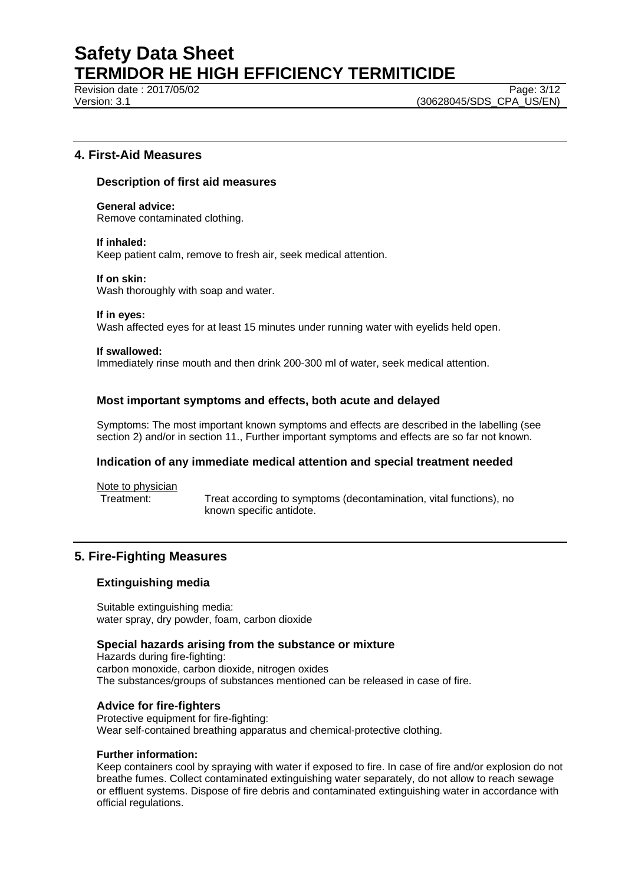Revision date : 2017/05/02 Page: 3/12

Version: 3.1 (30628045/SDS\_CPA\_US/EN)

## **4. First-Aid Measures**

#### **Description of first aid measures**

**General advice:**  Remove contaminated clothing.

#### **If inhaled:**

Keep patient calm, remove to fresh air, seek medical attention.

#### **If on skin:**

Wash thoroughly with soap and water.

#### **If in eyes:**

Wash affected eyes for at least 15 minutes under running water with eyelids held open.

#### **If swallowed:**

Immediately rinse mouth and then drink 200-300 ml of water, seek medical attention.

#### **Most important symptoms and effects, both acute and delayed**

Symptoms: The most important known symptoms and effects are described in the labelling (see section 2) and/or in section 11., Further important symptoms and effects are so far not known.

#### **Indication of any immediate medical attention and special treatment needed**

Note to physician

Treatment: Treat according to symptoms (decontamination, vital functions), no known specific antidote.

## **5. Fire-Fighting Measures**

#### **Extinguishing media**

Suitable extinguishing media: water spray, dry powder, foam, carbon dioxide

#### **Special hazards arising from the substance or mixture**

Hazards during fire-fighting: carbon monoxide, carbon dioxide, nitrogen oxides The substances/groups of substances mentioned can be released in case of fire.

#### **Advice for fire-fighters**

Protective equipment for fire-fighting: Wear self-contained breathing apparatus and chemical-protective clothing.

#### **Further information:**

Keep containers cool by spraying with water if exposed to fire. In case of fire and/or explosion do not breathe fumes. Collect contaminated extinguishing water separately, do not allow to reach sewage or effluent systems. Dispose of fire debris and contaminated extinguishing water in accordance with official regulations.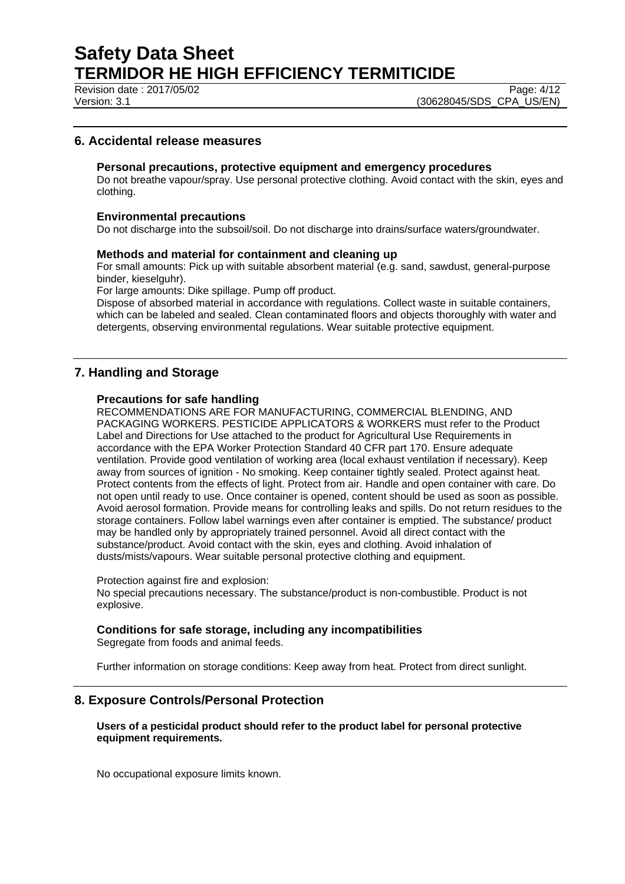Revision date : 2017/05/02 Page: 4/12

Version: 3.1 (30628045/SDS\_CPA\_US/EN)

## **6. Accidental release measures**

#### **Personal precautions, protective equipment and emergency procedures**

Do not breathe vapour/spray. Use personal protective clothing. Avoid contact with the skin, eyes and clothing.

#### **Environmental precautions**

Do not discharge into the subsoil/soil. Do not discharge into drains/surface waters/groundwater.

#### **Methods and material for containment and cleaning up**

For small amounts: Pick up with suitable absorbent material (e.g. sand, sawdust, general-purpose binder, kieselguhr).

For large amounts: Dike spillage. Pump off product.

Dispose of absorbed material in accordance with regulations. Collect waste in suitable containers, which can be labeled and sealed. Clean contaminated floors and objects thoroughly with water and detergents, observing environmental regulations. Wear suitable protective equipment.

## **7. Handling and Storage**

#### **Precautions for safe handling**

RECOMMENDATIONS ARE FOR MANUFACTURING, COMMERCIAL BLENDING, AND PACKAGING WORKERS. PESTICIDE APPLICATORS & WORKERS must refer to the Product Label and Directions for Use attached to the product for Agricultural Use Requirements in accordance with the EPA Worker Protection Standard 40 CFR part 170. Ensure adequate ventilation. Provide good ventilation of working area (local exhaust ventilation if necessary). Keep away from sources of ignition - No smoking. Keep container tightly sealed. Protect against heat. Protect contents from the effects of light. Protect from air. Handle and open container with care. Do not open until ready to use. Once container is opened, content should be used as soon as possible. Avoid aerosol formation. Provide means for controlling leaks and spills. Do not return residues to the storage containers. Follow label warnings even after container is emptied. The substance/ product may be handled only by appropriately trained personnel. Avoid all direct contact with the substance/product. Avoid contact with the skin, eyes and clothing. Avoid inhalation of dusts/mists/vapours. Wear suitable personal protective clothing and equipment.

Protection against fire and explosion:

No special precautions necessary. The substance/product is non-combustible. Product is not explosive.

#### **Conditions for safe storage, including any incompatibilities**

Segregate from foods and animal feeds.

Further information on storage conditions: Keep away from heat. Protect from direct sunlight.

#### **8. Exposure Controls/Personal Protection**

#### **Users of a pesticidal product should refer to the product label for personal protective equipment requirements.**

No occupational exposure limits known.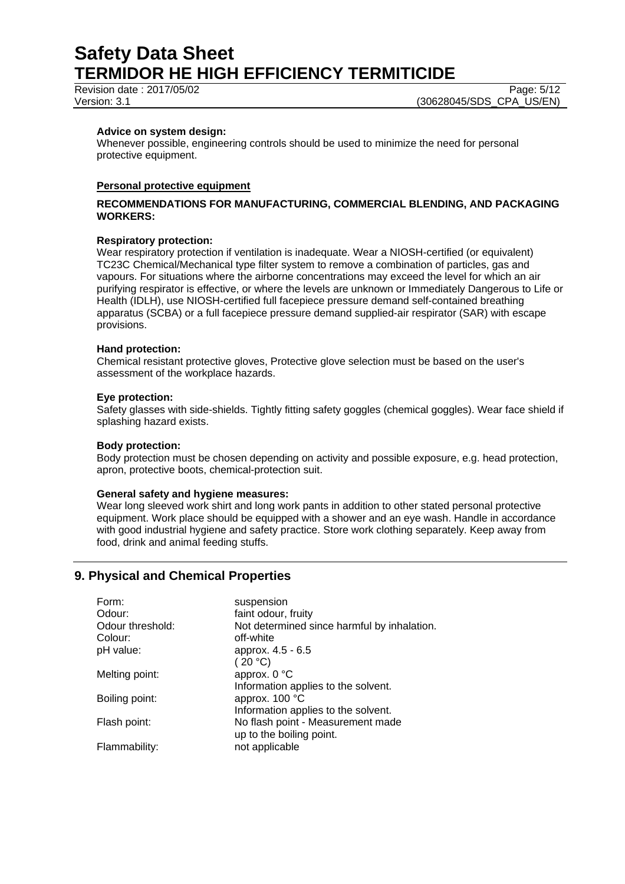Revision date : 2017/05/02 Page: 5/12

Version: 3.1 (30628045/SDS\_CPA\_US/EN)

#### **Advice on system design:**

Whenever possible, engineering controls should be used to minimize the need for personal protective equipment.

#### **Personal protective equipment**

#### **RECOMMENDATIONS FOR MANUFACTURING, COMMERCIAL BLENDING, AND PACKAGING WORKERS:**

#### **Respiratory protection:**

Wear respiratory protection if ventilation is inadequate. Wear a NIOSH-certified (or equivalent) TC23C Chemical/Mechanical type filter system to remove a combination of particles, gas and vapours. For situations where the airborne concentrations may exceed the level for which an air purifying respirator is effective, or where the levels are unknown or Immediately Dangerous to Life or Health (IDLH), use NIOSH-certified full facepiece pressure demand self-contained breathing apparatus (SCBA) or a full facepiece pressure demand supplied-air respirator (SAR) with escape provisions.

#### **Hand protection:**

Chemical resistant protective gloves, Protective glove selection must be based on the user's assessment of the workplace hazards.

#### **Eye protection:**

Safety glasses with side-shields. Tightly fitting safety goggles (chemical goggles). Wear face shield if splashing hazard exists.

#### **Body protection:**

Body protection must be chosen depending on activity and possible exposure, e.g. head protection, apron, protective boots, chemical-protection suit.

#### **General safety and hygiene measures:**

Wear long sleeved work shirt and long work pants in addition to other stated personal protective equipment. Work place should be equipped with a shower and an eye wash. Handle in accordance with good industrial hygiene and safety practice. Store work clothing separately. Keep away from food, drink and animal feeding stuffs.

## **9. Physical and Chemical Properties**

| Form:            | suspension                                  |
|------------------|---------------------------------------------|
| Odour:           | faint odour, fruity                         |
| Odour threshold: | Not determined since harmful by inhalation. |
| Colour:          | off-white                                   |
| pH value:        | approx. 4.5 - 6.5                           |
|                  | (20 °C)                                     |
| Melting point:   | approx. 0 °C                                |
|                  | Information applies to the solvent.         |
| Boiling point:   | approx. 100 °C                              |
|                  | Information applies to the solvent.         |
| Flash point:     | No flash point - Measurement made           |
|                  | up to the boiling point.                    |
| Flammability:    | not applicable                              |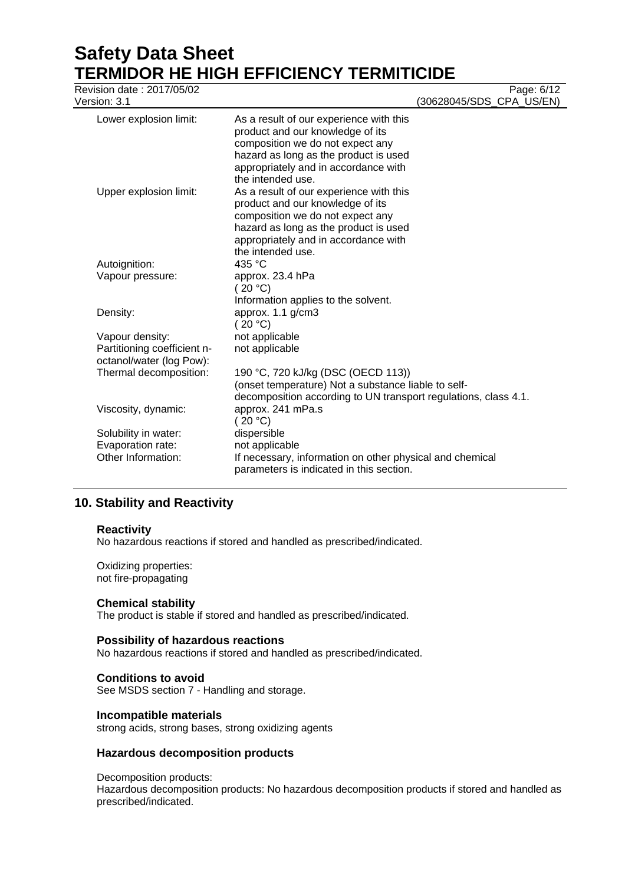# **Safety Data Sheet TERMIDOR HE HIGH EFFICIENCY TERMITICIDE**<br>Revision date : 2017/05/02

| Revision date: 2017/05/02<br>Version: 3.1               |                                                                                                                                                                                                                       | Page: 6/12<br>(30628045/SDS_CPA_US/EN) |
|---------------------------------------------------------|-----------------------------------------------------------------------------------------------------------------------------------------------------------------------------------------------------------------------|----------------------------------------|
| Lower explosion limit:                                  | As a result of our experience with this<br>product and our knowledge of its<br>composition we do not expect any<br>hazard as long as the product is used<br>appropriately and in accordance with<br>the intended use. |                                        |
| Upper explosion limit:                                  | As a result of our experience with this<br>product and our knowledge of its<br>composition we do not expect any<br>hazard as long as the product is used<br>appropriately and in accordance with<br>the intended use. |                                        |
| Autoignition:                                           | 435 °C                                                                                                                                                                                                                |                                        |
| Vapour pressure:                                        | approx. 23.4 hPa<br>(20 °C)<br>Information applies to the solvent.                                                                                                                                                    |                                        |
| Density:                                                | approx. 1.1 g/cm3<br>(20 °C)                                                                                                                                                                                          |                                        |
| Vapour density:                                         | not applicable                                                                                                                                                                                                        |                                        |
| Partitioning coefficient n-<br>octanol/water (log Pow): | not applicable                                                                                                                                                                                                        |                                        |
| Thermal decomposition:                                  | 190 °C, 720 kJ/kg (DSC (OECD 113))<br>(onset temperature) Not a substance liable to self-<br>decomposition according to UN transport regulations, class 4.1.                                                          |                                        |
| Viscosity, dynamic:                                     | approx. 241 mPa.s<br>(20 °C)                                                                                                                                                                                          |                                        |
| Solubility in water:                                    | dispersible                                                                                                                                                                                                           |                                        |
| Evaporation rate:                                       | not applicable                                                                                                                                                                                                        |                                        |
| Other Information:                                      | If necessary, information on other physical and chemical<br>parameters is indicated in this section.                                                                                                                  |                                        |

## **10. Stability and Reactivity**

#### **Reactivity**

No hazardous reactions if stored and handled as prescribed/indicated.

Oxidizing properties: not fire-propagating

## **Chemical stability**

The product is stable if stored and handled as prescribed/indicated.

#### **Possibility of hazardous reactions**

No hazardous reactions if stored and handled as prescribed/indicated.

## **Conditions to avoid**

See MSDS section 7 - Handling and storage.

#### **Incompatible materials**

strong acids, strong bases, strong oxidizing agents

## **Hazardous decomposition products**

Decomposition products:

Hazardous decomposition products: No hazardous decomposition products if stored and handled as prescribed/indicated.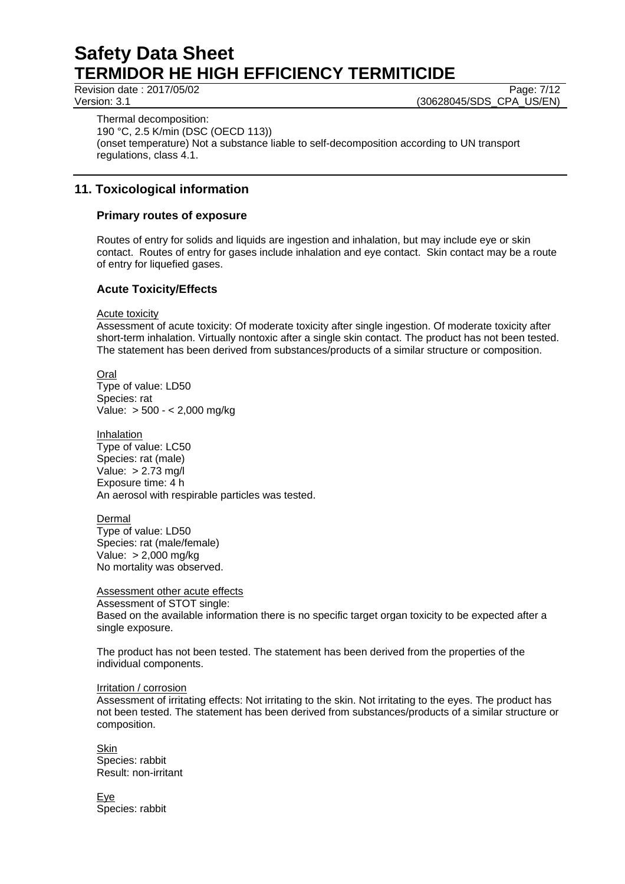Revision date : 2017/05/02 Page: 7/12

Version: 3.1 (30628045/SDS\_CPA\_US/EN)

Thermal decomposition: 190 °C, 2.5 K/min (DSC (OECD 113)) (onset temperature) Not a substance liable to self-decomposition according to UN transport regulations, class 4.1.

## **11. Toxicological information**

## **Primary routes of exposure**

Routes of entry for solids and liquids are ingestion and inhalation, but may include eye or skin contact. Routes of entry for gases include inhalation and eye contact. Skin contact may be a route of entry for liquefied gases.

## **Acute Toxicity/Effects**

Acute toxicity

Assessment of acute toxicity: Of moderate toxicity after single ingestion. Of moderate toxicity after short-term inhalation. Virtually nontoxic after a single skin contact. The product has not been tested. The statement has been derived from substances/products of a similar structure or composition.

Oral

Type of value: LD50 Species: rat Value: > 500 - < 2,000 mg/kg

Inhalation Type of value: LC50 Species: rat (male) Value: > 2.73 mg/l Exposure time: 4 h An aerosol with respirable particles was tested.

Dermal Type of value: LD50 Species: rat (male/female) Value: > 2,000 mg/kg No mortality was observed.

Assessment other acute effects Assessment of STOT single:

Based on the available information there is no specific target organ toxicity to be expected after a single exposure.

The product has not been tested. The statement has been derived from the properties of the individual components.

## Irritation / corrosion

Assessment of irritating effects: Not irritating to the skin. Not irritating to the eyes. The product has not been tested. The statement has been derived from substances/products of a similar structure or composition.

**Skin** Species: rabbit Result: non-irritant

Eye Species: rabbit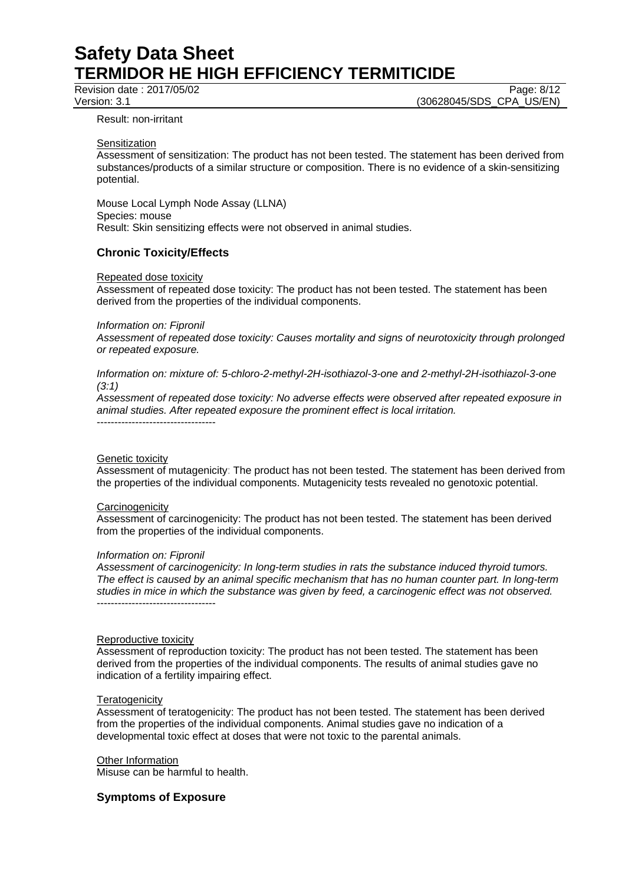Revision date : 2017/05/02 Page: 8/12

Version: 3.1 (30628045/SDS\_CPA\_US/EN)

#### Result: non-irritant

#### **Sensitization**

Assessment of sensitization: The product has not been tested. The statement has been derived from substances/products of a similar structure or composition. There is no evidence of a skin-sensitizing potential.

Mouse Local Lymph Node Assay (LLNA) Species: mouse Result: Skin sensitizing effects were not observed in animal studies.

#### **Chronic Toxicity/Effects**

#### Repeated dose toxicity

Assessment of repeated dose toxicity: The product has not been tested. The statement has been derived from the properties of the individual components.

#### *Information on: Fipronil*

*Assessment of repeated dose toxicity: Causes mortality and signs of neurotoxicity through prolonged or repeated exposure.* 

*Information on: mixture of: 5-chloro-2-methyl-2H-isothiazol-3-one and 2-methyl-2H-isothiazol-3-one (3:1)* 

*Assessment of repeated dose toxicity: No adverse effects were observed after repeated exposure in animal studies. After repeated exposure the prominent effect is local irritation.*  ----------------------------------

#### Genetic toxicity

Assessment of mutagenicity: The product has not been tested. The statement has been derived from the properties of the individual components. Mutagenicity tests revealed no genotoxic potential.

#### **Carcinogenicity**

Assessment of carcinogenicity: The product has not been tested. The statement has been derived from the properties of the individual components.

#### *Information on: Fipronil*

*Assessment of carcinogenicity: In long-term studies in rats the substance induced thyroid tumors. The effect is caused by an animal specific mechanism that has no human counter part. In long-term studies in mice in which the substance was given by feed, a carcinogenic effect was not observed.*  ----------------------------------

#### Reproductive toxicity

Assessment of reproduction toxicity: The product has not been tested. The statement has been derived from the properties of the individual components. The results of animal studies gave no indication of a fertility impairing effect.

#### **Teratogenicity**

Assessment of teratogenicity: The product has not been tested. The statement has been derived from the properties of the individual components. Animal studies gave no indication of a developmental toxic effect at doses that were not toxic to the parental animals.

#### **Other Information**

Misuse can be harmful to health.

#### **Symptoms of Exposure**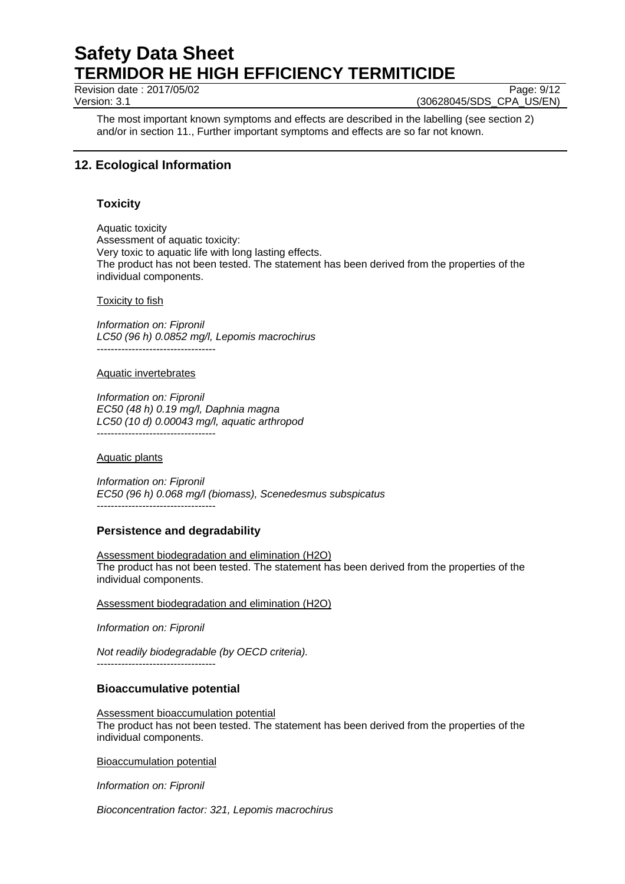Revision date : 2017/05/02 Page: 9/12

Version: 3.1 (30628045/SDS\_CPA\_US/EN)

The most important known symptoms and effects are described in the labelling (see section 2) and/or in section 11., Further important symptoms and effects are so far not known.

## **12. Ecological Information**

## **Toxicity**

Aquatic toxicity Assessment of aquatic toxicity: Very toxic to aquatic life with long lasting effects. The product has not been tested. The statement has been derived from the properties of the individual components.

#### Toxicity to fish

*Information on: Fipronil LC50 (96 h) 0.0852 mg/l, Lepomis macrochirus*  ----------------------------------

#### Aquatic invertebrates

*Information on: Fipronil EC50 (48 h) 0.19 mg/l, Daphnia magna LC50 (10 d) 0.00043 mg/l, aquatic arthropod*  ----------------------------------

#### Aquatic plants

*Information on: Fipronil EC50 (96 h) 0.068 mg/l (biomass), Scenedesmus subspicatus*  ----------------------------------

## **Persistence and degradability**

Assessment biodegradation and elimination (H2O) The product has not been tested. The statement has been derived from the properties of the individual components.

Assessment biodegradation and elimination (H2O)

*Information on: Fipronil* 

*Not readily biodegradable (by OECD criteria).* 

----------------------------------

## **Bioaccumulative potential**

Assessment bioaccumulation potential The product has not been tested. The statement has been derived from the properties of the individual components.

Bioaccumulation potential

*Information on: Fipronil* 

*Bioconcentration factor: 321, Lepomis macrochirus*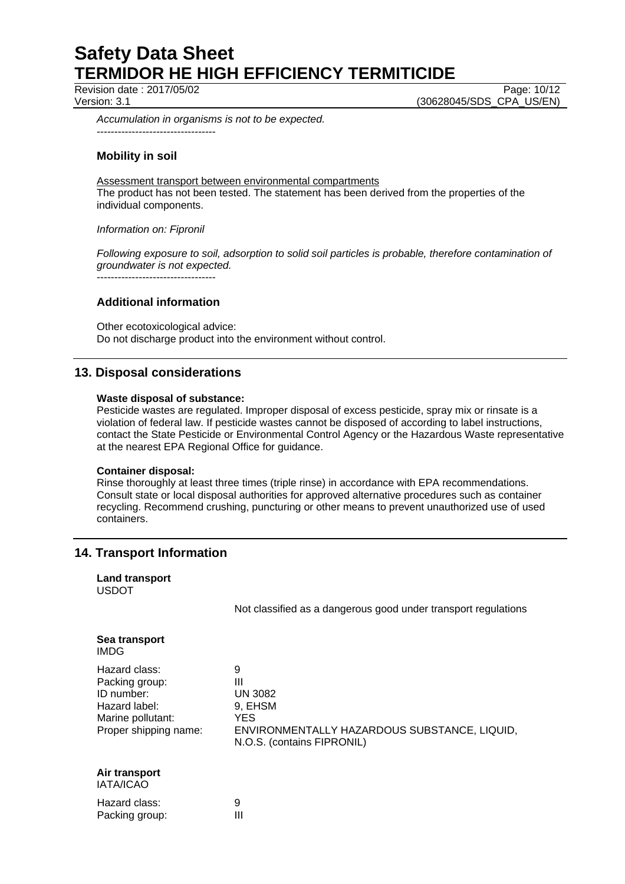Revision date : 2017/05/02 Page: 10/12

Version: 3.1 (30628045/SDS\_CPA\_US/EN)

*Accumulation in organisms is not to be expected.*  ----------------------------------

## **Mobility in soil**

Assessment transport between environmental compartments The product has not been tested. The statement has been derived from the properties of the individual components.

*Information on: Fipronil* 

*Following exposure to soil, adsorption to solid soil particles is probable, therefore contamination of groundwater is not expected.*

----------------------------------

## **Additional information**

Other ecotoxicological advice: Do not discharge product into the environment without control.

## **13. Disposal considerations**

#### **Waste disposal of substance:**

Pesticide wastes are regulated. Improper disposal of excess pesticide, spray mix or rinsate is a violation of federal law. If pesticide wastes cannot be disposed of according to label instructions, contact the State Pesticide or Environmental Control Agency or the Hazardous Waste representative at the nearest EPA Regional Office for guidance.

#### **Container disposal:**

Rinse thoroughly at least three times (triple rinse) in accordance with EPA recommendations. Consult state or local disposal authorities for approved alternative procedures such as container recycling. Recommend crushing, puncturing or other means to prevent unauthorized use of used containers.

## **14. Transport Information**

| <b>Land transport</b><br><b>USDOT</b>                                                                        |                                                                                                                                 |
|--------------------------------------------------------------------------------------------------------------|---------------------------------------------------------------------------------------------------------------------------------|
|                                                                                                              | Not classified as a dangerous good under transport regulations                                                                  |
| Sea transport<br><b>IMDG</b>                                                                                 |                                                                                                                                 |
| Hazard class:<br>Packing group:<br>ID number:<br>Hazard label:<br>Marine pollutant:<br>Proper shipping name: | 9<br>Ш<br><b>UN 3082</b><br>9. EHSM<br><b>YES</b><br>ENVIRONMENTALLY HAZARDOUS SUBSTANCE, LIQUID,<br>N.O.S. (contains FIPRONIL) |

#### **Air transport**  IATA/ICAO

| Hazard class:  | 9 |
|----------------|---|
| Packing group: | Ш |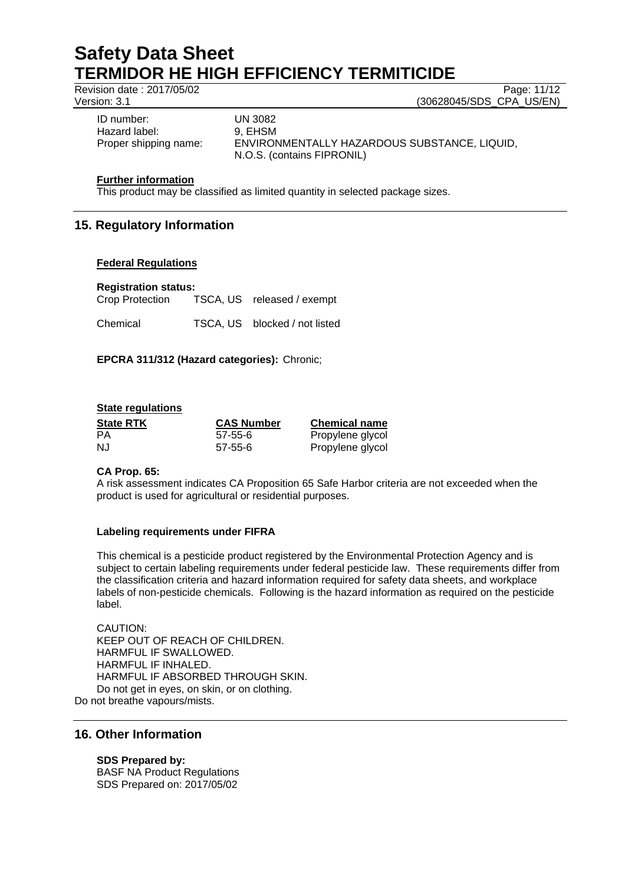Revision date : 2017/05/02 Page: 11/12

Version: 3.1 (30628045/SDS\_CPA\_US/EN)

ID number: UN 3082 Hazard label: 9, EHSM Proper shipping name: ENVIRONMENTALLY HAZARDOUS SUBSTANCE, LIQUID,

N.O.S. (contains FIPRONIL)

### **Further information**

This product may be classified as limited quantity in selected package sizes.

## **15. Regulatory Information**

#### **Federal Regulations**

**Registration status:** 

| Crop Protection | TSCA, US released / exempt    |
|-----------------|-------------------------------|
| Chemical        | TSCA, US blocked / not listed |

## **EPCRA 311/312 (Hazard categories):** Chronic;

## **State regulations**

| <b>State RTK</b> | <b>CAS Number</b> | <b>Chemical name</b> |
|------------------|-------------------|----------------------|
| PA               | $57 - 55 - 6$     | Propylene glycol     |
| NJ               | $57 - 55 - 6$     | Propylene glycol     |

## **CA Prop. 65:**

A risk assessment indicates CA Proposition 65 Safe Harbor criteria are not exceeded when the product is used for agricultural or residential purposes.

## **Labeling requirements under FIFRA**

This chemical is a pesticide product registered by the Environmental Protection Agency and is subject to certain labeling requirements under federal pesticide law. These requirements differ from the classification criteria and hazard information required for safety data sheets, and workplace labels of non-pesticide chemicals. Following is the hazard information as required on the pesticide label.

CAUTION: KEEP OUT OF REACH OF CHILDREN. HARMFUL IF SWALLOWED. HARMFUL IF INHALED. HARMFUL IF ABSORBED THROUGH SKIN. Do not get in eyes, on skin, or on clothing. Do not breathe vapours/mists.

## **16. Other Information**

## **SDS Prepared by:**

BASF NA Product Regulations SDS Prepared on: 2017/05/02